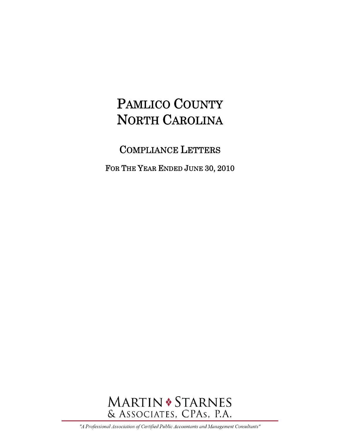COMPLIANCE LETTERS

FOR THE YEAR ENDED JUNE 30, 2010



"A Professional Association of Certified Public Accountants and Management Consultants"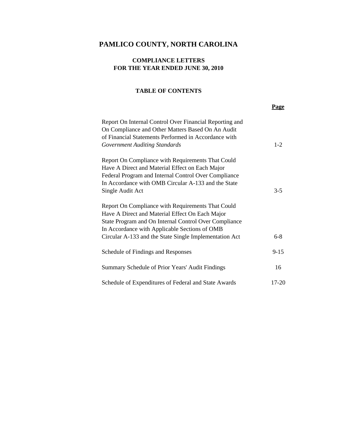### **COMPLIANCE LETTERS FOR THE YEAR ENDED JUNE 30, 2010**

#### **TABLE OF CONTENTS**

| Report On Internal Control Over Financial Reporting and |           |
|---------------------------------------------------------|-----------|
| On Compliance and Other Matters Based On An Audit       |           |
| of Financial Statements Performed in Accordance with    |           |
| <b>Government Auditing Standards</b>                    | $1-2$     |
| Report On Compliance with Requirements That Could       |           |
| Have A Direct and Material Effect on Each Major         |           |
| Federal Program and Internal Control Over Compliance    |           |
| In Accordance with OMB Circular A-133 and the State     |           |
| Single Audit Act                                        | $3 - 5$   |
| Report On Compliance with Requirements That Could       |           |
| Have A Direct and Material Effect On Each Major         |           |
| State Program and On Internal Control Over Compliance   |           |
| In Accordance with Applicable Sections of OMB           |           |
| Circular A-133 and the State Single Implementation Act  | $6 - 8$   |
| Schedule of Findings and Responses                      | $9 - 15$  |
| Summary Schedule of Prior Years' Audit Findings         | 16        |
| Schedule of Expenditures of Federal and State Awards    | $17 - 20$ |

**Page**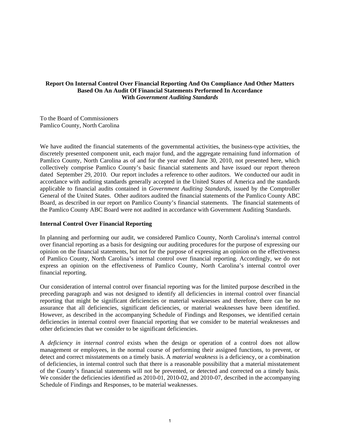#### **Report On Internal Control Over Financial Reporting And On Compliance And Other Matters Based On An Audit Of Financial Statements Performed In Accordance With** *Government Auditing Standards*

To the Board of Commissioners Pamlico County, North Carolina

We have audited the financial statements of the governmental activities, the business-type activities, the discretely presented component unit, each major fund, and the aggregate remaining fund information of Pamlico County, North Carolina as of and for the year ended June 30, 2010, not presented here, which collectively comprise Pamlico County's basic financial statements and have issued our report thereon dated September 29, 2010. Our report includes a reference to other auditors. We conducted our audit in accordance with auditing standards generally accepted in the United States of America and the standards applicable to financial audits contained in *Government Auditing Standards*, issued by the Comptroller General of the United States. Other auditors audited the financial statements of the Pamlico County ABC Board, as described in our report on Pamlico County's financial statements. The financial statements of the Pamlico County ABC Board were not audited in accordance with Government Auditing Standards.

#### **Internal Control Over Financial Reporting**

In planning and performing our audit, we considered Pamlico County, North Carolina's internal control over financial reporting as a basis for designing our auditing procedures for the purpose of expressing our opinion on the financial statements, but not for the purpose of expressing an opinion on the effectiveness of Pamlico County, North Carolina's internal control over financial reporting. Accordingly, we do not express an opinion on the effectiveness of Pamlico County, North Carolina's internal control over financial reporting.

Our consideration of internal control over financial reporting was for the limited purpose described in the preceding paragraph and was not designed to identify all deficiencies in internal control over financial reporting that might be significant deficiencies or material weaknesses and therefore, there can be no assurance that all deficiencies, significant deficiencies, or material weaknesses have been identified. However, as described in the accompanying Schedule of Findings and Responses, we identified certain deficiencies in internal control over financial reporting that we consider to be material weaknesses and other deficiencies that we consider to be significant deficiencies.

A *deficiency in internal control* exists when the design or operation of a control does not allow management or employees, in the normal course of performing their assigned functions, to prevent, or detect and correct misstatements on a timely basis. A *material weakness* is a deficiency, or a combination of deficiencies, in internal control such that there is a reasonable possibility that a material misstatement of the County's financial statements will not be prevented, or detected and corrected on a timely basis. We consider the deficiencies identified as 2010-01, 2010-02, and 2010-07, described in the accompanying Schedule of Findings and Responses, to be material weaknesses.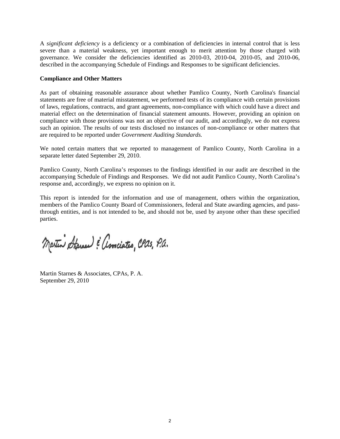A *significant deficiency* is a deficiency or a combination of deficiencies in internal control that is less severe than a material weakness, yet important enough to merit attention by those charged with governance. We consider the deficiencies identified as 2010-03, 2010-04, 2010-05, and 2010-06, described in the accompanying Schedule of Findings and Responses to be significant deficiencies.

#### **Compliance and Other Matters**

As part of obtaining reasonable assurance about whether Pamlico County, North Carolina's financial statements are free of material misstatement, we performed tests of its compliance with certain provisions of laws, regulations, contracts, and grant agreements, non-compliance with which could have a direct and material effect on the determination of financial statement amounts. However, providing an opinion on compliance with those provisions was not an objective of our audit, and accordingly, we do not express such an opinion. The results of our tests disclosed no instances of non-compliance or other matters that are required to be reported under *Government Auditing Standards.*

We noted certain matters that we reported to management of Pamlico County, North Carolina in a separate letter dated September 29, 2010.

Pamlico County, North Carolina's responses to the findings identified in our audit are described in the accompanying Schedule of Findings and Responses. We did not audit Pamlico County, North Carolina's response and, accordingly, we express no opinion on it.

This report is intended for the information and use of management, others within the organization, members of the Pamlico County Board of Commissioners, federal and State awarding agencies, and passthrough entities, and is not intended to be, and should not be, used by anyone other than these specified parties.

Martin Starner & amciates, CPas, P.a.

Martin Starnes & Associates, CPAs, P. A. September 29, 2010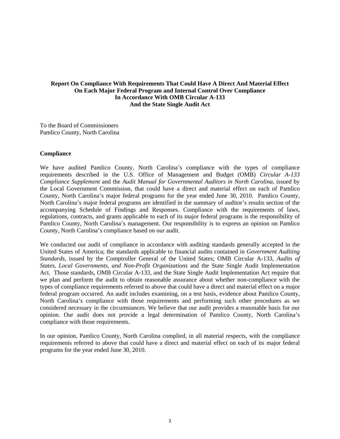#### **Report On Compliance With Requirements That Could Have A Direct And Material Effect On Each Major Federal Program and Internal Control Over Compliance In Accordance With OMB Circular A-133 And the State Single Audit Act**

To the Board of Commissioners Pamlico County, North Carolina

#### **Compliance**

We have audited Pamlico County, North Carolina's compliance with the types of compliance requirements described in the U.S. Office of Management and Budget (OMB) *Circular A-133 Compliance Supplement* and the *Audit Manual for Governmental Auditors in North Carolina*, issued by the Local Government Commission, that could have a direct and material effect on each of Pamlico County, North Carolina's major federal programs for the year ended June 30, 2010. Pamlico County, North Carolina's major federal programs are identified in the summary of auditor's results section of the accompanying Schedule of Findings and Responses. Compliance with the requirements of laws, regulations, contracts, and grants applicable to each of its major federal programs is the responsibility of Pamlico County, North Carolina's management. Our responsibility is to express an opinion on Pamlico County, North Carolina's compliance based on our audit.

We conducted our audit of compliance in accordance with auditing standards generally accepted in the United States of America; the standards applicable to financial audits contained in *Government Auditing Standards*, issued by the Comptroller General of the United States; OMB Circular A-133, *Audits of States, Local Governments, and Non-Profit Organizations* and the State Single Audit Implementation Act*.* Those standards, OMB Circular A-133, and the State Single Audit Implementation Act require that we plan and perform the audit to obtain reasonable assurance about whether non-compliance with the types of compliance requirements referred to above that could have a direct and material effect on a major federal program occurred. An audit includes examining, on a test basis, evidence about Pamlico County, North Carolina's compliance with those requirements and performing such other procedures as we considered necessary in the circumstances. We believe that our audit provides a reasonable basis for our opinion. Our audit does not provide a legal determination of Pamlico County, North Carolina's compliance with those requirements.

In our opinion, Pamlico County, North Carolina complied, in all material respects, with the compliance requirements referred to above that could have a direct and material effect on each of its major federal programs for the year ended June 30, 2010.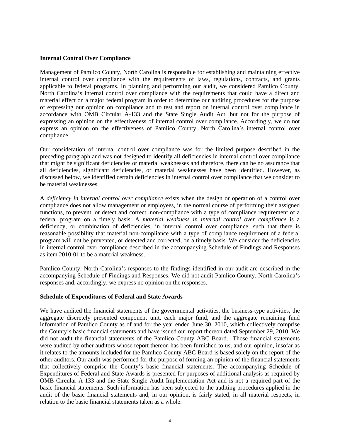#### **Internal Control Over Compliance**

Management of Pamlico County, North Carolina is responsible for establishing and maintaining effective internal control over compliance with the requirements of laws, regulations, contracts, and grants applicable to federal programs. In planning and performing our audit, we considered Pamlico County, North Carolina's internal control over compliance with the requirements that could have a direct and material effect on a major federal program in order to determine our auditing procedures for the purpose of expressing our opinion on compliance and to test and report on internal control over compliance in accordance with OMB Circular A-133 and the State Single Audit Act, but not for the purpose of expressing an opinion on the effectiveness of internal control over compliance. Accordingly, we do not express an opinion on the effectiveness of Pamlico County, North Carolina's internal control over compliance.

Our consideration of internal control over compliance was for the limited purpose described in the preceding paragraph and was not designed to identify all deficiencies in internal control over compliance that might be significant deficiencies or material weaknesses and therefore, there can be no assurance that all deficiencies, significant deficiencies, or material weaknesses have been identified. However, as discussed below, we identified certain deficiencies in internal control over compliance that we consider to be material weaknesses.

A *deficiency in internal control over compliance* exists when the design or operation of a control over compliance does not allow management or employees, in the normal course of performing their assigned functions, to prevent, or detect and correct, non-compliance with a type of compliance requirement of a federal program on a timely basis. A *material weakness in internal control over compliance* is a deficiency, or combination of deficiencies, in internal control over compliance, such that there is reasonable possibility that material non-compliance with a type of compliance requirement of a federal program will not be prevented, or detected and corrected, on a timely basis. We consider the deficiencies in internal control over compliance described in the accompanying Schedule of Findings and Responses as item 2010-01 to be a material weakness.

Pamlico County, North Carolina's responses to the findings identified in our audit are described in the accompanying Schedule of Findings and Responses. We did not audit Pamlico County, North Carolina's responses and, accordingly, we express no opinion on the responses.

#### **Schedule of Expenditures of Federal and State Awards**

We have audited the financial statements of the governmental activities, the business-type activities, the aggregate discretely presented component unit, each major fund, and the aggregate remaining fund information of Pamlico County as of and for the year ended June 30, 2010, which collectively comprise the County's basic financial statements and have issued our report thereon dated September 29, 2010. We did not audit the financial statements of the Pamlico County ABC Board. Those financial statements were audited by other auditors whose report thereon has been furnished to us, and our opinion, insofar as it relates to the amounts included for the Pamlico County ABC Board is based solely on the report of the other auditors. Our audit was performed for the purpose of forming an opinion of the financial statements that collectively comprise the County's basic financial statements. The accompanying Schedule of Expenditures of Federal and State Awards is presented for purposes of additional analysis as required by OMB Circular A-133 and the State Single Audit Implementation Act and is not a required part of the basic financial statements. Such information has been subjected to the auditing procedures applied in the audit of the basic financial statements and, in our opinion, is fairly stated, in all material respects, in relation to the basic financial statements taken as a whole.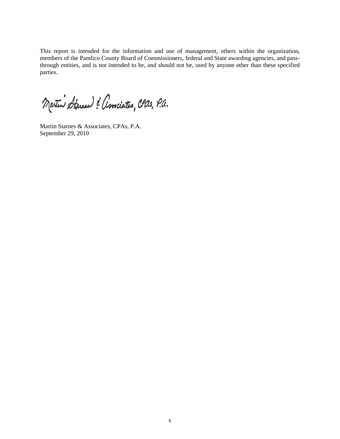This report is intended for the information and use of management, others within the organization, members of the Pamlico County Board of Commissioners, federal and State awarding agencies, and passthrough entities, and is not intended to be, and should not be, used by anyone other than these specified parties.

Martin Starne : amciates, CPas, P.a.

Martin Starnes & Associates, CPAs, P.A. September 29, 2010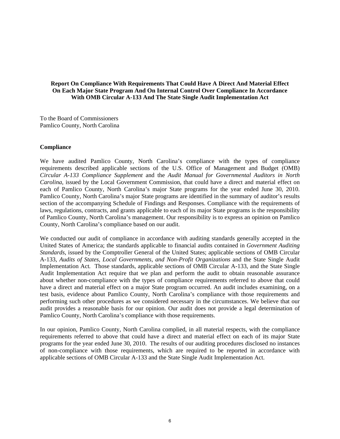#### **Report On Compliance With Requirements That Could Have A Direct And Material Effect On Each Major State Program And On Internal Control Over Compliance In Accordance With OMB Circular A-133 And The State Single Audit Implementation Act**

To the Board of Commissioners Pamlico County, North Carolina

#### **Compliance**

We have audited Pamlico County, North Carolina's compliance with the types of compliance requirements described applicable sections of the U.S. Office of Management and Budget (OMB) *Circular A-133 Compliance Supplement* and the *Audit Manual for Governmental Auditors in North Carolina*, issued by the Local Government Commission, that could have a direct and material effect on each of Pamlico County, North Carolina's major State programs for the year ended June 30, 2010. Pamlico County, North Carolina's major State programs are identified in the summary of auditor's results section of the accompanying Schedule of Findings and Responses. Compliance with the requirements of laws, regulations, contracts, and grants applicable to each of its major State programs is the responsibility of Pamlico County, North Carolina's management. Our responsibility is to express an opinion on Pamlico County, North Carolina's compliance based on our audit.

We conducted our audit of compliance in accordance with auditing standards generally accepted in the United States of America; the standards applicable to financial audits contained in *Government Auditing Standards*, issued by the Comptroller General of the United States; applicable sections of OMB Circular A-133, *Audits of States, Local Governments, and Non-Profit Organizations* and the State Single Audit Implementation Act*.* Those standards, applicable sections of OMB Circular A-133, and the State Single Audit Implementation Act require that we plan and perform the audit to obtain reasonable assurance about whether non-compliance with the types of compliance requirements referred to above that could have a direct and material effect on a major State program occurred. An audit includes examining, on a test basis, evidence about Pamlico County, North Carolina's compliance with those requirements and performing such other procedures as we considered necessary in the circumstances. We believe that our audit provides a reasonable basis for our opinion. Our audit does not provide a legal determination of Pamlico County, North Carolina's compliance with those requirements.

In our opinion, Pamlico County, North Carolina complied, in all material respects, with the compliance requirements referred to above that could have a direct and material effect on each of its major State programs for the year ended June 30, 2010. The results of our auditing procedures disclosed no instances of non-compliance with those requirements, which are required to be reported in accordance with applicable sections of OMB Circular A-133 and the State Single Audit Implementation Act.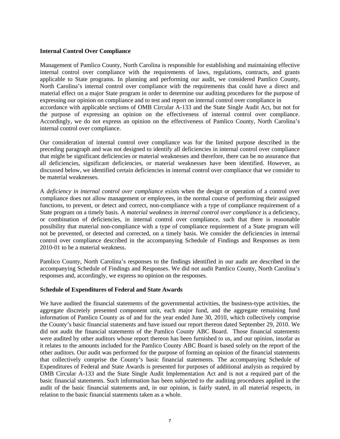#### **Internal Control Over Compliance**

Management of Pamlico County, North Carolina is responsible for establishing and maintaining effective internal control over compliance with the requirements of laws, regulations, contracts, and grants applicable to State programs. In planning and performing our audit, we considered Pamlico County, North Carolina's internal control over compliance with the requirements that could have a direct and material effect on a major State program in order to determine our auditing procedures for the purpose of expressing our opinion on compliance and to test and report on internal control over compliance in accordance with applicable sections of OMB Circular A-133 and the State Single Audit Act, but not for the purpose of expressing an opinion on the effectiveness of internal control over compliance. Accordingly, we do not express an opinion on the effectiveness of Pamlico County, North Carolina's internal control over compliance.

Our consideration of internal control over compliance was for the limited purpose described in the preceding paragraph and was not designed to identify all deficiencies in internal control over compliance that might be significant deficiencies or material weaknesses and therefore, there can be no assurance that all deficiencies, significant deficiencies, or material weaknesses have been identified. However, as discussed below, we identified certain deficiencies in internal control over compliance that we consider to be material weaknesses.

A *deficiency in internal control over compliance* exists when the design or operation of a control over compliance does not allow management or employees, in the normal course of performing their assigned functions, to prevent, or detect and correct, non-compliance with a type of compliance requirement of a State program on a timely basis. A *material weakness in internal control over compliance* is a deficiency, or combination of deficiencies, in internal control over compliance, such that there is reasonable possibility that material non-compliance with a type of compliance requirement of a State program will not be prevented, or detected and corrected, on a timely basis. We consider the deficiencies in internal control over compliance described in the accompanying Schedule of Findings and Responses as item 2010-01 to be a material weakness.

Pamlico County, North Carolina's responses to the findings identified in our audit are described in the accompanying Schedule of Findings and Responses. We did not audit Pamlico County, North Carolina's responses and, accordingly, we express no opinion on the responses.

#### **Schedule of Expenditures of Federal and State Awards**

We have audited the financial statements of the governmental activities, the business-type activities, the aggregate discretely presented component unit, each major fund, and the aggregate remaining fund information of Pamlico County as of and for the year ended June 30, 2010, which collectively comprise the County's basic financial statements and have issued our report thereon dated September 29, 2010. We did not audit the financial statements of the Pamlico County ABC Board. Those financial statements were audited by other auditors whose report thereon has been furnished to us, and our opinion, insofar as it relates to the amounts included for the Pamlico County ABC Board is based solely on the report of the other auditors. Our audit was performed for the purpose of forming an opinion of the financial statements that collectively comprise the County's basic financial statements. The accompanying Schedule of Expenditures of Federal and State Awards is presented for purposes of additional analysis as required by OMB Circular A-133 and the State Single Audit Implementation Act and is not a required part of the basic financial statements. Such information has been subjected to the auditing procedures applied in the audit of the basic financial statements and, in our opinion, is fairly stated, in all material respects, in relation to the basic financial statements taken as a whole.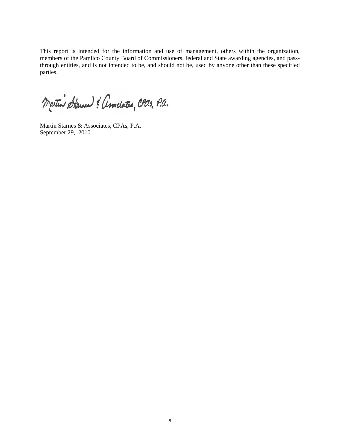This report is intended for the information and use of management, others within the organization, members of the Pamlico County Board of Commissioners, federal and State awarding agencies, and passthrough entities, and is not intended to be, and should not be, used by anyone other than these specified parties.

Martin Starner & amiates, CPas, P.a.

Martin Starnes & Associates, CPAs, P.A. September 29, 2010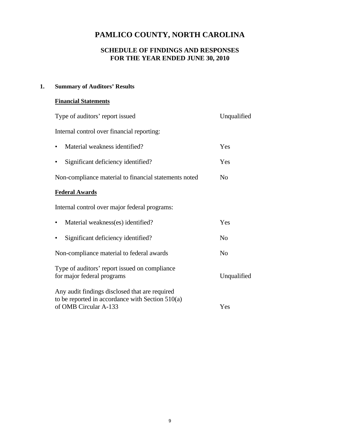# **SCHEDULE OF FINDINGS AND RESPONSES FOR THE YEAR ENDED JUNE 30, 2010**

# **1. Summary of Auditors' Results**

# **Financial Statements**

| Type of auditors' report issued                                                                                               | Unqualified    |
|-------------------------------------------------------------------------------------------------------------------------------|----------------|
| Internal control over financial reporting:                                                                                    |                |
| Material weakness identified?                                                                                                 | Yes            |
| Significant deficiency identified?<br>٠                                                                                       | Yes            |
| Non-compliance material to financial statements noted                                                                         | N <sub>0</sub> |
| <b>Federal Awards</b>                                                                                                         |                |
| Internal control over major federal programs:                                                                                 |                |
| Material weakness(es) identified?<br>٠                                                                                        | Yes            |
| Significant deficiency identified?                                                                                            | N <sub>0</sub> |
| Non-compliance material to federal awards                                                                                     | N <sub>0</sub> |
| Type of auditors' report issued on compliance<br>for major federal programs                                                   | Unqualified    |
| Any audit findings disclosed that are required<br>to be reported in accordance with Section $510(a)$<br>of OMB Circular A-133 | Yes            |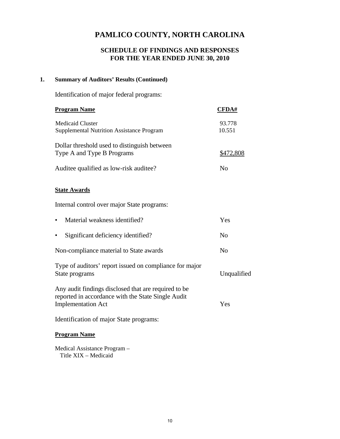# **SCHEDULE OF FINDINGS AND RESPONSES FOR THE YEAR ENDED JUNE 30, 2010**

### **1. Summary of Auditors' Results (Continued)**

Identification of major federal programs:

| <b>Program Name</b>                                                                                                                     | <b>CFDA#</b>     |
|-----------------------------------------------------------------------------------------------------------------------------------------|------------------|
| <b>Medicaid Cluster</b><br><b>Supplemental Nutrition Assistance Program</b>                                                             | 93.778<br>10.551 |
| Dollar threshold used to distinguish between<br>Type A and Type B Programs                                                              | <u>\$472,808</u> |
| Auditee qualified as low-risk auditee?                                                                                                  | No               |
| <b>State Awards</b>                                                                                                                     |                  |
| Internal control over major State programs:                                                                                             |                  |
| Material weakness identified?<br>$\bullet$                                                                                              | Yes              |
| Significant deficiency identified?                                                                                                      | N <sub>0</sub>   |
| Non-compliance material to State awards                                                                                                 | No               |
| Type of auditors' report issued on compliance for major<br>State programs                                                               | Unqualified      |
| Any audit findings disclosed that are required to be<br>reported in accordance with the State Single Audit<br><b>Implementation Act</b> | Yes              |
| Identification of major State programs:                                                                                                 |                  |
| <b>Program Name</b>                                                                                                                     |                  |

 Medical Assistance Program – Title XIX – Medicaid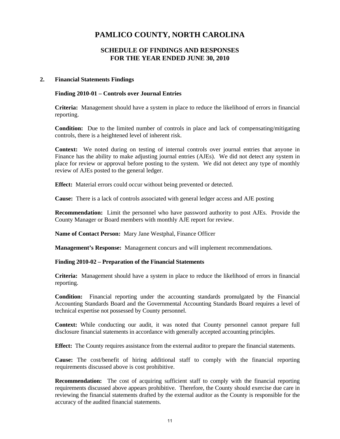### **SCHEDULE OF FINDINGS AND RESPONSES FOR THE YEAR ENDED JUNE 30, 2010**

#### **2. Financial Statements Findings**

#### **Finding 2010-01 – Controls over Journal Entries**

**Criteria:** Management should have a system in place to reduce the likelihood of errors in financial reporting.

**Condition:** Due to the limited number of controls in place and lack of compensating/mitigating controls, there is a heightened level of inherent risk.

**Context:** We noted during on testing of internal controls over journal entries that anyone in Finance has the ability to make adjusting journal entries (AJEs). We did not detect any system in place for review or approval before posting to the system. We did not detect any type of monthly review of AJEs posted to the general ledger.

**Effect:** Material errors could occur without being prevented or detected.

**Cause:** There is a lack of controls associated with general ledger access and AJE posting

**Recommendation:** Limit the personnel who have password authority to post AJEs. Provide the County Manager or Board members with monthly AJE report for review.

**Name of Contact Person:** Mary Jane Westphal, Finance Officer

**Management's Response:** Management concurs and will implement recommendations.

#### **Finding 2010-02 – Preparation of the Financial Statements**

**Criteria:** Management should have a system in place to reduce the likelihood of errors in financial reporting.

**Condition:** Financial reporting under the accounting standards promulgated by the Financial Accounting Standards Board and the Governmental Accounting Standards Board requires a level of technical expertise not possessed by County personnel.

**Context:** While conducting our audit, it was noted that County personnel cannot prepare full disclosure financial statements in accordance with generally accepted accounting principles.

**Effect:** The County requires assistance from the external auditor to prepare the financial statements.

**Cause:** The cost/benefit of hiring additional staff to comply with the financial reporting requirements discussed above is cost prohibitive.

**Recommendation:** The cost of acquiring sufficient staff to comply with the financial reporting requirements discussed above appears prohibitive. Therefore, the County should exercise due care in reviewing the financial statements drafted by the external auditor as the County is responsible for the accuracy of the audited financial statements.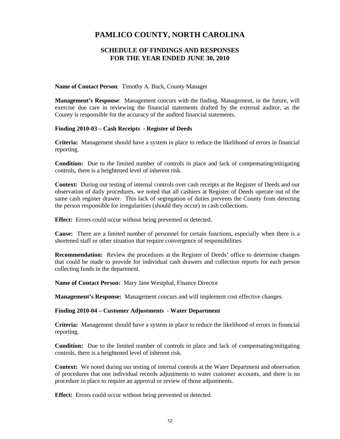### **SCHEDULE OF FINDINGS AND RESPONSES FOR THE YEAR ENDED JUNE 30, 2010**

#### **Name of Contact Person**: Timothy A. Buck, County Manager

**Management's Response**: Management concurs with the finding. Management, in the future, will exercise due care in reviewing the financial statements drafted by the external auditor, as the County is responsible for the accuracy of the audited financial statements.

#### **Finding 2010-03 – Cash Receipts - Register of Deeds**

**Criteria:** Management should have a system in place to reduce the likelihood of errors in financial reporting.

**Condition:** Due to the limited number of controls in place and lack of compensating/mitigating controls, there is a heightened level of inherent risk.

**Context:** During our testing of internal controls over cash receipts at the Register of Deeds and our observation of daily procedures, we noted that all cashiers at Register of Deeds operate out of the same cash register drawer. This lack of segregation of duties prevents the County from detecting the person responsible for irregularities (should they occur) in cash collections.

**Effect:** Errors could occur without being prevented or detected.

**Cause:** There are a limited number of personnel for certain functions, especially when there is a shortened staff or other situation that require convergence of responsibilities.

**Recommendation:** Review the procedures at the Register of Deeds' office to determine changes that could be made to provide for individual cash drawers and collection reports for each person collecting funds in the department.

**Name of Contact Person:** Mary Jane Westphal, Finance Director

**Management's Response:** Management concurs and will implement cost effective changes.

#### **Finding 2010-04 – Customer Adjustments - Water Department**

**Criteria:** Management should have a system in place to reduce the likelihood of errors in financial reporting.

**Condition:** Due to the limited number of controls in place and lack of compensating/mitigating controls, there is a heightened level of inherent risk.

**Context:** We noted during our testing of internal controls at the Water Department and observation of procedures that one individual records adjustments to water customer accounts, and there is no procedure in place to require an approval or review of those adjustments.

**Effect:** Errors could occur without being prevented or detected.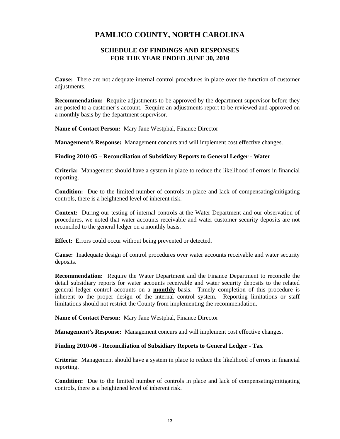### **SCHEDULE OF FINDINGS AND RESPONSES FOR THE YEAR ENDED JUNE 30, 2010**

**Cause:** There are not adequate internal control procedures in place over the function of customer adjustments.

**Recommendation:** Require adjustments to be approved by the department supervisor before they are posted to a customer's account. Require an adjustments report to be reviewed and approved on a monthly basis by the department supervisor.

**Name of Contact Person:** Mary Jane Westphal, Finance Director

**Management's Response:** Management concurs and will implement cost effective changes.

#### **Finding 2010-05 – Reconciliation of Subsidiary Reports to General Ledger - Water**

**Criteria:** Management should have a system in place to reduce the likelihood of errors in financial reporting.

**Condition:** Due to the limited number of controls in place and lack of compensating/mitigating controls, there is a heightened level of inherent risk.

**Context:** During our testing of internal controls at the Water Department and our observation of procedures, we noted that water accounts receivable and water customer security deposits are not reconciled to the general ledger on a monthly basis.

**Effect:** Errors could occur without being prevented or detected.

**Cause:** Inadequate design of control procedures over water accounts receivable and water security deposits.

**Recommendation:** Require the Water Department and the Finance Department to reconcile the detail subsidiary reports for water accounts receivable and water security deposits to the related general ledger control accounts on a **monthly** basis. Timely completion of this procedure is inherent to the proper design of the internal control system. Reporting limitations or staff limitations should not restrict the County from implementing the recommendation.

**Name of Contact Person:** Mary Jane Westphal, Finance Director

**Management's Response:** Management concurs and will implement cost effective changes.

**Finding 2010-06 - Reconciliation of Subsidiary Reports to General Ledger - Tax** 

**Criteria:** Management should have a system in place to reduce the likelihood of errors in financial reporting.

**Condition:** Due to the limited number of controls in place and lack of compensating/mitigating controls, there is a heightened level of inherent risk.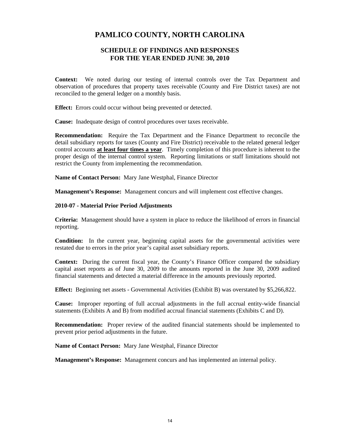### **SCHEDULE OF FINDINGS AND RESPONSES FOR THE YEAR ENDED JUNE 30, 2010**

**Context:** We noted during our testing of internal controls over the Tax Department and observation of procedures that property taxes receivable (County and Fire District taxes) are not reconciled to the general ledger on a monthly basis.

**Effect:** Errors could occur without being prevented or detected.

**Cause:** Inadequate design of control procedures over taxes receivable.

**Recommendation:** Require the Tax Department and the Finance Department to reconcile the detail subsidiary reports for taxes (County and Fire District) receivable to the related general ledger control accounts **at least four times a year**. Timely completion of this procedure is inherent to the proper design of the internal control system. Reporting limitations or staff limitations should not restrict the County from implementing the recommendation.

**Name of Contact Person:** Mary Jane Westphal, Finance Director

**Management's Response:** Management concurs and will implement cost effective changes.

#### **2010-07 - Material Prior Period Adjustments**

**Criteria:** Management should have a system in place to reduce the likelihood of errors in financial reporting.

**Condition:** In the current year, beginning capital assets for the governmental activities were restated due to errors in the prior year's capital asset subsidiary reports.

**Context:** During the current fiscal year, the County's Finance Officer compared the subsidiary capital asset reports as of June 30, 2009 to the amounts reported in the June 30, 2009 audited financial statements and detected a material difference in the amounts previously reported.

**Effect:** Beginning net assets - Governmental Activities (Exhibit B) was overstated by \$5,266,822.

**Cause:** Improper reporting of full accrual adjustments in the full accrual entity-wide financial statements (Exhibits A and B) from modified accrual financial statements (Exhibits C and D).

**Recommendation:** Proper review of the audited financial statements should be implemented to prevent prior period adjustments in the future.

**Name of Contact Person:** Mary Jane Westphal, Finance Director

**Management's Response:** Management concurs and has implemented an internal policy.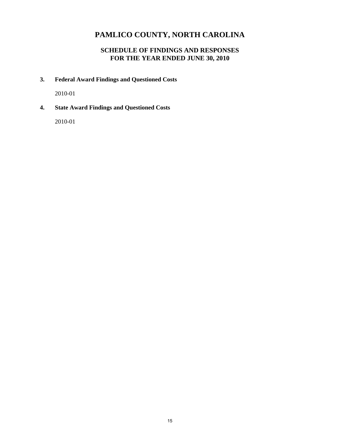# **SCHEDULE OF FINDINGS AND RESPONSES FOR THE YEAR ENDED JUNE 30, 2010**

**3. Federal Award Findings and Questioned Costs** 

2010-01

**4. State Award Findings and Questioned Costs** 

2010-01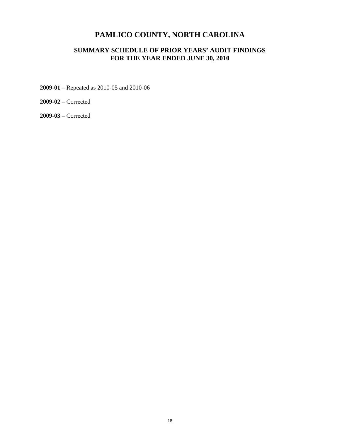## **SUMMARY SCHEDULE OF PRIOR YEARS' AUDIT FINDINGS FOR THE YEAR ENDED JUNE 30, 2010**

**2009-01** – Repeated as 2010-05 and 2010-06

**2009-02** – Corrected

**2009-03** – Corrected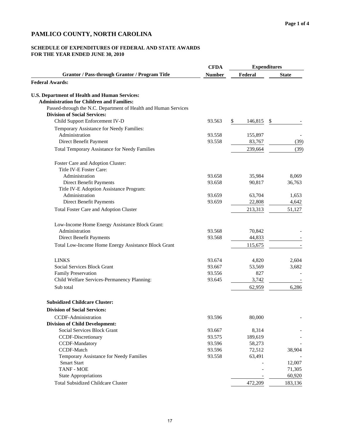#### **SCHEDULE OF EXPENDITURES OF FEDERAL AND STATE AWARDS FOR THE YEAR ENDED JUNE 30, 2010**

|                                                                 | <b>CFDA</b>   |               | <b>Expenditures</b> |
|-----------------------------------------------------------------|---------------|---------------|---------------------|
| <b>Grantor / Pass-through Grantor / Program Title</b>           | <b>Number</b> | Federal       | <b>State</b>        |
| <b>Federal Awards:</b>                                          |               |               |                     |
| U.S. Department of Health and Human Services:                   |               |               |                     |
| <b>Administration for Children and Families:</b>                |               |               |                     |
| Passed-through the N.C. Department of Health and Human Services |               |               |                     |
| <b>Division of Social Services:</b>                             |               |               |                     |
| Child Support Enforcement IV-D                                  | 93.563        | \$<br>146,815 | \$                  |
| Temporary Assistance for Needy Families:                        |               |               |                     |
| Administration                                                  | 93.558        | 155,897       |                     |
| Direct Benefit Payment                                          | 93.558        | 83,767        | (39)                |
| <b>Total Temporary Assistance for Needy Families</b>            |               | 239,664       | (39)                |
| Foster Care and Adoption Cluster:                               |               |               |                     |
| Title IV-E Foster Care:                                         |               |               |                     |
| Administration                                                  | 93.658        | 35,984        | 8,069               |
| Direct Benefit Payments                                         | 93.658        | 90,817        | 36,763              |
| Title IV-E Adoption Assistance Program:                         |               |               |                     |
| Administration                                                  | 93.659        | 63,704        | 1,653               |
| Direct Benefit Payments                                         | 93.659        | 22,808        | 4,642               |
| Total Foster Care and Adoption Cluster                          |               | 213,313       | 51,127              |
| Low-Income Home Energy Assistance Block Grant:                  |               |               |                     |
| Administration                                                  | 93.568        | 70,842        |                     |
| Direct Benefit Payments                                         | 93.568        | 44,833        |                     |
| Total Low-Income Home Energy Assistance Block Grant             |               | 115,675       |                     |
| <b>LINKS</b>                                                    | 93.674        | 4,820         | 2,604               |
| Social Services Block Grant                                     | 93.667        | 53,569        | 3,682               |
| Family Preservation                                             | 93.556        | 827           |                     |
| Child Welfare Services-Permanency Planning:                     | 93.645        | 3,742         |                     |
| Sub total                                                       |               | 62,959        | 6,286               |
| <b>Subsidized Childcare Cluster:</b>                            |               |               |                     |
| <b>Division of Social Services:</b>                             |               |               |                     |
| CCDF-Administration                                             | 93.596        | 80,000        |                     |
| <b>Division of Child Development:</b>                           |               |               |                     |
| Social Services Block Grant                                     | 93.667        | 8,314         |                     |
| CCDF-Discretionary                                              | 93.575        | 189,619       |                     |
| <b>CCDF-Mandatory</b>                                           | 93.596        | 58,273        |                     |
| CCDF-Match                                                      | 93.596        | 72,512        | 38,904              |
| Temporary Assistance for Needy Families                         | 93.558        | 63,491        |                     |
| <b>Smart Start</b>                                              |               |               | 12,007              |
| <b>TANF - MOE</b>                                               |               |               | 71,305              |
| <b>State Appropriations</b>                                     |               |               | 60,920              |
| <b>Total Subsidized Childcare Cluster</b>                       |               | 472,209       | 183,136             |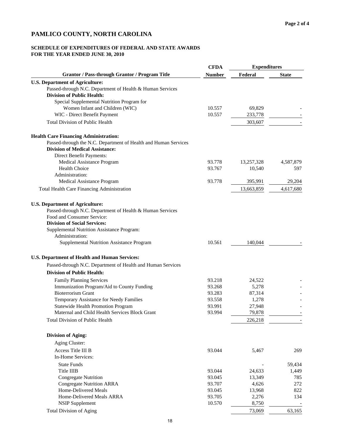### **SCHEDULE OF EXPENDITURES OF FEDERAL AND STATE AWARDS FOR THE YEAR ENDED JUNE 30, 2010**

|                                                                 | <b>CFDA</b>   | <b>Expenditures</b> |              |  |
|-----------------------------------------------------------------|---------------|---------------------|--------------|--|
| <b>Grantor / Pass-through Grantor / Program Title</b>           | <b>Number</b> | Federal             | <b>State</b> |  |
| <b>U.S. Department of Agriculture:</b>                          |               |                     |              |  |
| Passed-through N.C. Department of Health & Human Services       |               |                     |              |  |
| <b>Division of Public Health:</b>                               |               |                     |              |  |
| Special Supplemental Nutrition Program for                      |               |                     |              |  |
| Women Infant and Children (WIC)                                 | 10.557        | 69,829              |              |  |
| WIC - Direct Benefit Payment                                    | 10.557        | 233,778             |              |  |
| <b>Total Division of Public Health</b>                          |               | 303,607             |              |  |
| <b>Health Care Financing Administration:</b>                    |               |                     |              |  |
| Passed-through the N.C. Department of Health and Human Services |               |                     |              |  |
| <b>Division of Medical Assistance:</b>                          |               |                     |              |  |
| Direct Benefit Payments:                                        |               |                     |              |  |
| Medical Assistance Program                                      | 93.778        | 13,257,328          | 4,587,879    |  |
| <b>Health Choice</b>                                            | 93.767        | 10,540              | 597          |  |
| Administration:                                                 |               |                     |              |  |
| Medical Assistance Program                                      | 93.778        | 395,991             | 29,204       |  |
| Total Health Care Financing Administration                      |               | 13,663,859          | 4,617,680    |  |
| <b>U.S. Department of Agriculture:</b>                          |               |                     |              |  |
| Passed-through N.C. Department of Health & Human Services       |               |                     |              |  |
| Food and Consumer Service:                                      |               |                     |              |  |
| <b>Division of Social Services:</b>                             |               |                     |              |  |
| Supplemental Nutrition Assistance Program:                      |               |                     |              |  |
| Administration:                                                 |               |                     |              |  |
| Supplemental Nutrition Assistance Program                       | 10.561        | 140,044             |              |  |
| U.S. Department of Health and Human Services:                   |               |                     |              |  |
|                                                                 |               |                     |              |  |
| Passed-through N.C. Department of Health and Human Services     |               |                     |              |  |
| <b>Division of Public Health:</b>                               |               |                     |              |  |
| <b>Family Planning Services</b>                                 | 93.218        | 24,522              |              |  |
| Immunization Program/Aid to County Funding                      | 93.268        | 5,278               |              |  |
| <b>Bioterrorism Grant</b>                                       | 93.283        | 87,314              |              |  |
| Temporary Assistance for Needy Families                         | 93.558        | 1,278               |              |  |
| <b>Statewide Health Promotion Program</b>                       | 93.991        | 27,948              |              |  |
| Maternal and Child Health Services Block Grant                  | 93.994        | 79,878              |              |  |
| <b>Total Division of Public Health</b>                          |               | 226,218             |              |  |
| <b>Division of Aging:</b>                                       |               |                     |              |  |
| Aging Cluster:                                                  |               |                     |              |  |
| Access Title III B                                              | 93.044        | 5,467               | 269          |  |
| In-Home Services:                                               |               |                     |              |  |
| <b>State Funds</b>                                              |               |                     | 59,434       |  |
| Title IIIB                                                      | 93.044        | 24,633              | 1,449        |  |
| <b>Congregate Nutrition</b>                                     | 93.045        | 13,349              | 785          |  |
| <b>Congregate Nutrition ARRA</b>                                | 93.707        | 4,626               | 272          |  |
| Home-Delivered Meals                                            | 93.045        | 13,968              | 822          |  |
| Home-Delivered Meals ARRA                                       | 93.705        | 2,276               | 134          |  |
| <b>NSIP Supplement</b>                                          | 10.570        | 8,750               |              |  |
| <b>Total Division of Aging</b>                                  |               | 73,069              | 63,165       |  |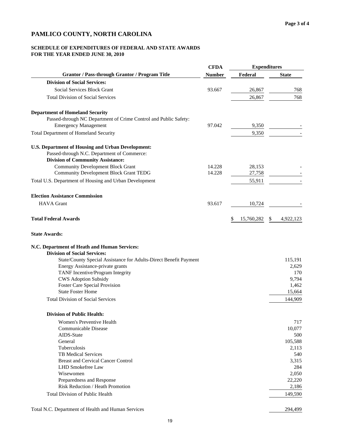#### **SCHEDULE OF EXPENDITURES OF FEDERAL AND STATE AWARDS FOR THE YEAR ENDED JUNE 30, 2010**

|                                                                   | <b>CFDA</b>   | <b>Expenditures</b> |                 |  |
|-------------------------------------------------------------------|---------------|---------------------|-----------------|--|
| <b>Grantor / Pass-through Grantor / Program Title</b>             | <b>Number</b> | Federal             | <b>State</b>    |  |
| <b>Division of Social Services:</b>                               |               |                     |                 |  |
| Social Services Block Grant                                       | 93.667        | 26,867              | 768             |  |
| <b>Total Division of Social Services</b>                          |               | 26,867              | 768             |  |
|                                                                   |               |                     |                 |  |
| <b>Department of Homeland Security</b>                            |               |                     |                 |  |
| Passed-through NC Department of Crime Control and Public Safety:  |               |                     |                 |  |
| <b>Emergency Management</b>                                       | 97.042        | 9,350               |                 |  |
| <b>Total Department of Homeland Security</b>                      |               | 9,350               |                 |  |
| <b>U.S. Department of Housing and Urban Development:</b>          |               |                     |                 |  |
| Passed-through N.C. Department of Commerce:                       |               |                     |                 |  |
| <b>Division of Community Assistance:</b>                          |               |                     |                 |  |
| <b>Community Development Block Grant</b>                          | 14.228        | 28,153              |                 |  |
| <b>Community Development Block Grant TEDG</b>                     | 14.228        | 27,758              |                 |  |
| Total U.S. Department of Housing and Urban Development            |               | 55,911              |                 |  |
| <b>Election Assistance Commission</b>                             |               |                     |                 |  |
|                                                                   |               |                     |                 |  |
| <b>HAVA</b> Grant                                                 | 93.617        | 10,724              |                 |  |
| <b>Total Federal Awards</b>                                       |               | 15,760,282<br>\$    | 4,922,123<br>\$ |  |
| <b>State Awards:</b>                                              |               |                     |                 |  |
| N.C. Department of Heath and Human Services:                      |               |                     |                 |  |
| <b>Division of Social Services:</b>                               |               |                     |                 |  |
| State/County Special Assistance for Adults-Direct Benefit Payment |               |                     | 115,191         |  |
| Energy Assistance-private grants                                  |               |                     | 2,629           |  |
| TANF Incentive/Program Integrity                                  |               |                     | 170             |  |
| <b>CWS Adoption Subsidy</b>                                       |               |                     | 9,794           |  |
| <b>Foster Care Special Provision</b>                              |               |                     | 1,462           |  |
| <b>State Foster Home</b>                                          |               |                     | 15,664          |  |
| <b>Total Division of Social Services</b>                          |               |                     | 144,909         |  |
| <b>Division of Public Health:</b>                                 |               |                     |                 |  |
| Women's Preventive Health                                         |               |                     | 717             |  |
| Communicable Disease                                              |               |                     | 10,077          |  |
| AIDS-State                                                        |               |                     | 500             |  |
| General                                                           |               |                     | 105,588         |  |
| Tuberculosis                                                      |               |                     | 2,113           |  |
| <b>TB Medical Services</b>                                        |               |                     | 540             |  |
| <b>Breast and Cervical Cancer Control</b>                         |               |                     | 3,315           |  |
| LHD Smokefree Law                                                 |               |                     | 284             |  |
| Wisewomen                                                         |               |                     | 2,050           |  |
| Preparedness and Response                                         |               |                     | 22,220          |  |
| Risk Reduction / Heath Promotion                                  |               |                     | 2,186           |  |
|                                                                   |               |                     |                 |  |

Total N.C. Department of Health and Human Services 294,499